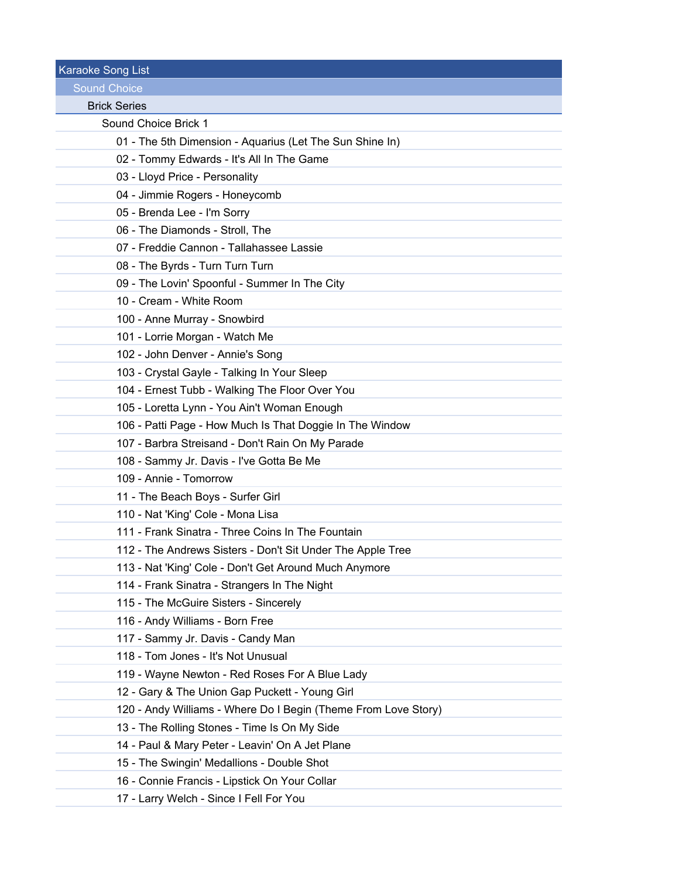Karaoke Song List Sound Choice Brick Series Sound Choice Brick 1 01 - The 5th Dimension - Aquarius (Let The Sun Shine In) 02 - Tommy Edwards - It's All In The Game 03 - Lloyd Price - Personality 04 - Jimmie Rogers - Honeycomb 05 - Brenda Lee - I'm Sorry 06 - The Diamonds - Stroll, The 07 - Freddie Cannon - Tallahassee Lassie 08 - The Byrds - Turn Turn Turn 09 - The Lovin' Spoonful - Summer In The City 10 - Cream - White Room 100 - Anne Murray - Snowbird 101 - Lorrie Morgan - Watch Me 102 - John Denver - Annie's Song 103 - Crystal Gayle - Talking In Your Sleep 104 - Ernest Tubb - Walking The Floor Over You 105 - Loretta Lynn - You Ain't Woman Enough 106 - Patti Page - How Much Is That Doggie In The Window 107 - Barbra Streisand - Don't Rain On My Parade 108 - Sammy Jr. Davis - I've Gotta Be Me 109 - Annie - Tomorrow 11 - The Beach Boys - Surfer Girl 110 - Nat 'King' Cole - Mona Lisa 111 - Frank Sinatra - Three Coins In The Fountain 112 - The Andrews Sisters - Don't Sit Under The Apple Tree 113 - Nat 'King' Cole - Don't Get Around Much Anymore 114 - Frank Sinatra - Strangers In The Night 115 - The McGuire Sisters - Sincerely 116 - Andy Williams - Born Free 117 - Sammy Jr. Davis - Candy Man 118 - Tom Jones - It's Not Unusual 119 - Wayne Newton - Red Roses For A Blue Lady 12 - Gary & The Union Gap Puckett - Young Girl 120 - Andy Williams - Where Do I Begin (Theme From Love Story) 13 - The Rolling Stones - Time Is On My Side 14 - Paul & Mary Peter - Leavin' On A Jet Plane 15 - The Swingin' Medallions - Double Shot 16 - Connie Francis - Lipstick On Your Collar 17 - Larry Welch - Since I Fell For You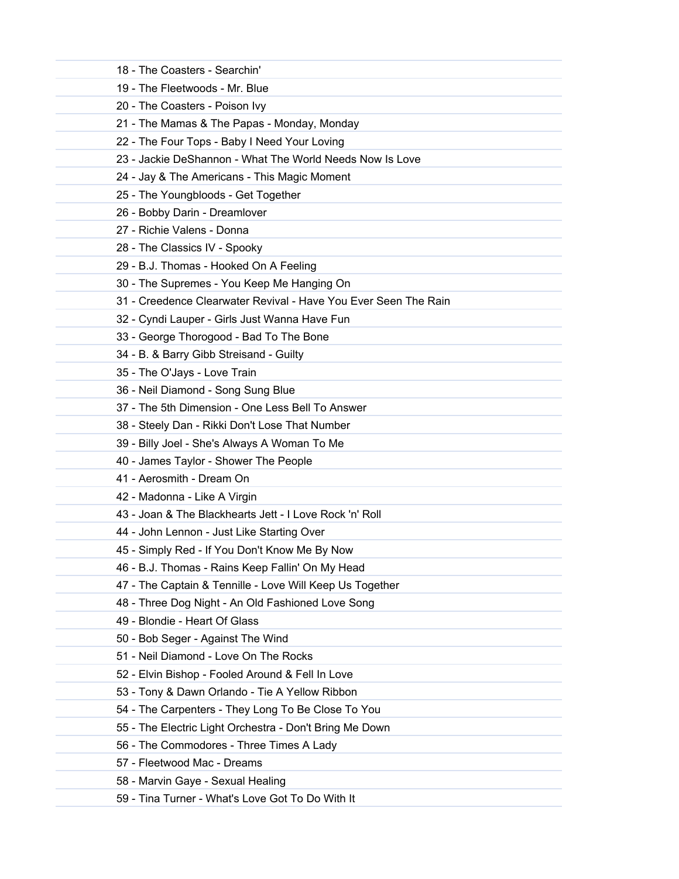| 18 - The Coasters - Searchin'                                   |  |
|-----------------------------------------------------------------|--|
| 19 - The Fleetwoods - Mr. Blue                                  |  |
| 20 - The Coasters - Poison Ivy                                  |  |
| 21 - The Mamas & The Papas - Monday, Monday                     |  |
| 22 - The Four Tops - Baby I Need Your Loving                    |  |
| 23 - Jackie DeShannon - What The World Needs Now Is Love        |  |
| 24 - Jay & The Americans - This Magic Moment                    |  |
| 25 - The Youngbloods - Get Together                             |  |
| 26 - Bobby Darin - Dreamlover                                   |  |
| 27 - Richie Valens - Donna                                      |  |
| 28 - The Classics IV - Spooky                                   |  |
| 29 - B.J. Thomas - Hooked On A Feeling                          |  |
| 30 - The Supremes - You Keep Me Hanging On                      |  |
| 31 - Creedence Clearwater Revival - Have You Ever Seen The Rain |  |
| 32 - Cyndi Lauper - Girls Just Wanna Have Fun                   |  |
| 33 - George Thorogood - Bad To The Bone                         |  |
| 34 - B. & Barry Gibb Streisand - Guilty                         |  |
| 35 - The O'Jays - Love Train                                    |  |
| 36 - Neil Diamond - Song Sung Blue                              |  |
| 37 - The 5th Dimension - One Less Bell To Answer                |  |
| 38 - Steely Dan - Rikki Don't Lose That Number                  |  |
| 39 - Billy Joel - She's Always A Woman To Me                    |  |
| 40 - James Taylor - Shower The People                           |  |
| 41 - Aerosmith - Dream On                                       |  |
| 42 - Madonna - Like A Virgin                                    |  |
| 43 - Joan & The Blackhearts Jett - I Love Rock 'n' Roll         |  |
| 44 - John Lennon - Just Like Starting Over                      |  |
| 45 - Simply Red - If You Don't Know Me By Now                   |  |
| 46 - B.J. Thomas - Rains Keep Fallin' On My Head                |  |
| 47 - The Captain & Tennille - Love Will Keep Us Together        |  |
| 48 - Three Dog Night - An Old Fashioned Love Song               |  |
| 49 - Blondie - Heart Of Glass                                   |  |
| 50 - Bob Seger - Against The Wind                               |  |
| 51 - Neil Diamond - Love On The Rocks                           |  |
| 52 - Elvin Bishop - Fooled Around & Fell In Love                |  |
| 53 - Tony & Dawn Orlando - Tie A Yellow Ribbon                  |  |
| 54 - The Carpenters - They Long To Be Close To You              |  |
| 55 - The Electric Light Orchestra - Don't Bring Me Down         |  |
| 56 - The Commodores - Three Times A Lady                        |  |
| 57 - Fleetwood Mac - Dreams                                     |  |
| 58 - Marvin Gaye - Sexual Healing                               |  |
| 59 - Tina Turner - What's Love Got To Do With It                |  |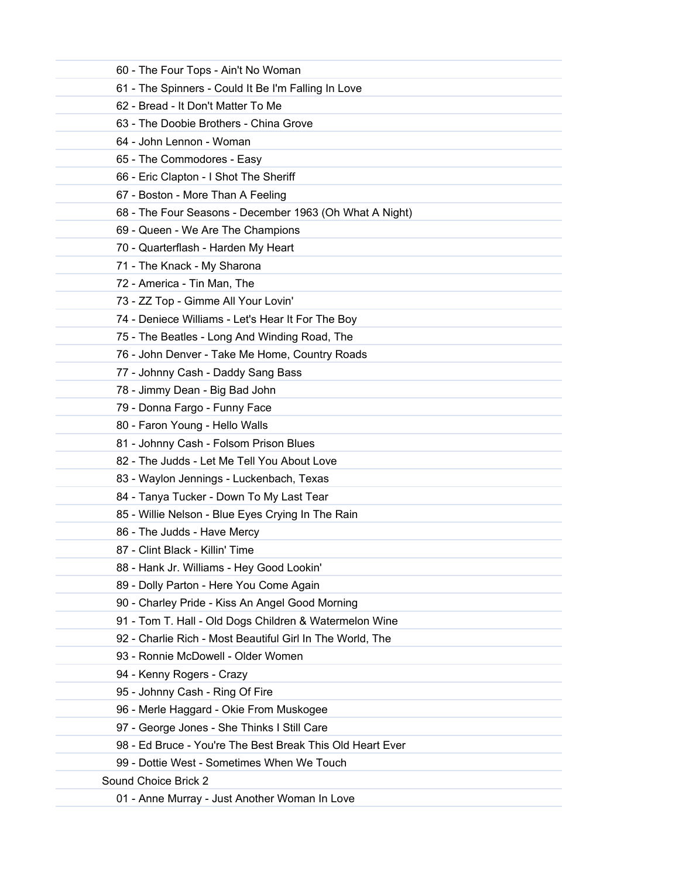| 60 - The Four Tops - Ain't No Woman                       |
|-----------------------------------------------------------|
| 61 - The Spinners - Could It Be I'm Falling In Love       |
| 62 - Bread - It Don't Matter To Me                        |
| 63 - The Doobie Brothers - China Grove                    |
| 64 - John Lennon - Woman                                  |
| 65 - The Commodores - Easy                                |
| 66 - Eric Clapton - I Shot The Sheriff                    |
| 67 - Boston - More Than A Feeling                         |
| 68 - The Four Seasons - December 1963 (Oh What A Night)   |
| 69 - Queen - We Are The Champions                         |
| 70 - Quarterflash - Harden My Heart                       |
| 71 - The Knack - My Sharona                               |
| 72 - America - Tin Man, The                               |
| 73 - ZZ Top - Gimme All Your Lovin'                       |
| 74 - Deniece Williams - Let's Hear It For The Boy         |
| 75 - The Beatles - Long And Winding Road, The             |
| 76 - John Denver - Take Me Home, Country Roads            |
| 77 - Johnny Cash - Daddy Sang Bass                        |
| 78 - Jimmy Dean - Big Bad John                            |
| 79 - Donna Fargo - Funny Face                             |
| 80 - Faron Young - Hello Walls                            |
| 81 - Johnny Cash - Folsom Prison Blues                    |
| 82 - The Judds - Let Me Tell You About Love               |
| 83 - Waylon Jennings - Luckenbach, Texas                  |
| 84 - Tanya Tucker - Down To My Last Tear                  |
| 85 - Willie Nelson - Blue Eyes Crying In The Rain         |
| 86 - The Judds - Have Mercy                               |
| 87 - Clint Black - Killin' Time                           |
| 88 - Hank Jr. Williams - Hey Good Lookin'                 |
| 89 - Dolly Parton - Here You Come Again                   |
| 90 - Charley Pride - Kiss An Angel Good Morning           |
| 91 - Tom T. Hall - Old Dogs Children & Watermelon Wine    |
| 92 - Charlie Rich - Most Beautiful Girl In The World, The |
| 93 - Ronnie McDowell - Older Women                        |
| 94 - Kenny Rogers - Crazy                                 |
| 95 - Johnny Cash - Ring Of Fire                           |
| 96 - Merle Haggard - Okie From Muskogee                   |
| 97 - George Jones - She Thinks I Still Care               |
| 98 - Ed Bruce - You're The Best Break This Old Heart Ever |
| 99 - Dottie West - Sometimes When We Touch                |
| Sound Choice Brick 2                                      |
| 01 - Anne Murray - Just Another Woman In Love             |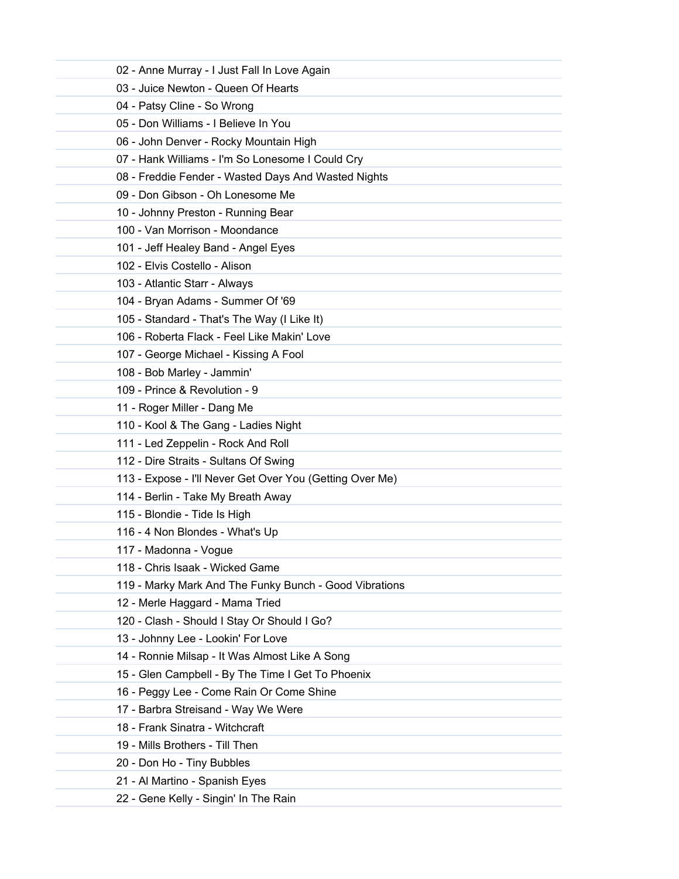| 02 - Anne Murray - I Just Fall In Love Again             |  |
|----------------------------------------------------------|--|
| 03 - Juice Newton - Queen Of Hearts                      |  |
| 04 - Patsy Cline - So Wrong                              |  |
| 05 - Don Williams - I Believe In You                     |  |
| 06 - John Denver - Rocky Mountain High                   |  |
| 07 - Hank Williams - I'm So Lonesome I Could Cry         |  |
| 08 - Freddie Fender - Wasted Days And Wasted Nights      |  |
| 09 - Don Gibson - Oh Lonesome Me                         |  |
| 10 - Johnny Preston - Running Bear                       |  |
| 100 - Van Morrison - Moondance                           |  |
| 101 - Jeff Healey Band - Angel Eyes                      |  |
| 102 - Elvis Costello - Alison                            |  |
| 103 - Atlantic Starr - Always                            |  |
| 104 - Bryan Adams - Summer Of '69                        |  |
| 105 - Standard - That's The Way (I Like It)              |  |
| 106 - Roberta Flack - Feel Like Makin' Love              |  |
| 107 - George Michael - Kissing A Fool                    |  |
| 108 - Bob Marley - Jammin'                               |  |
| 109 - Prince & Revolution - 9                            |  |
| 11 - Roger Miller - Dang Me                              |  |
| 110 - Kool & The Gang - Ladies Night                     |  |
| 111 - Led Zeppelin - Rock And Roll                       |  |
| 112 - Dire Straits - Sultans Of Swing                    |  |
| 113 - Expose - I'll Never Get Over You (Getting Over Me) |  |
| 114 - Berlin - Take My Breath Away                       |  |
| 115 - Blondie - Tide Is High                             |  |
| 116 - 4 Non Blondes - What's Up                          |  |
| 117 - Madonna - Vogue                                    |  |
| 118 - Chris Isaak - Wicked Game                          |  |
| 119 - Marky Mark And The Funky Bunch - Good Vibrations   |  |
| 12 - Merle Haggard - Mama Tried                          |  |
| 120 - Clash - Should I Stay Or Should I Go?              |  |
| 13 - Johnny Lee - Lookin' For Love                       |  |
| 14 - Ronnie Milsap - It Was Almost Like A Song           |  |
| 15 - Glen Campbell - By The Time I Get To Phoenix        |  |
| 16 - Peggy Lee - Come Rain Or Come Shine                 |  |
| 17 - Barbra Streisand - Way We Were                      |  |
| 18 - Frank Sinatra - Witchcraft                          |  |
| 19 - Mills Brothers - Till Then                          |  |
| 20 - Don Ho - Tiny Bubbles                               |  |
| 21 - Al Martino - Spanish Eyes                           |  |
| 22 - Gene Kelly - Singin' In The Rain                    |  |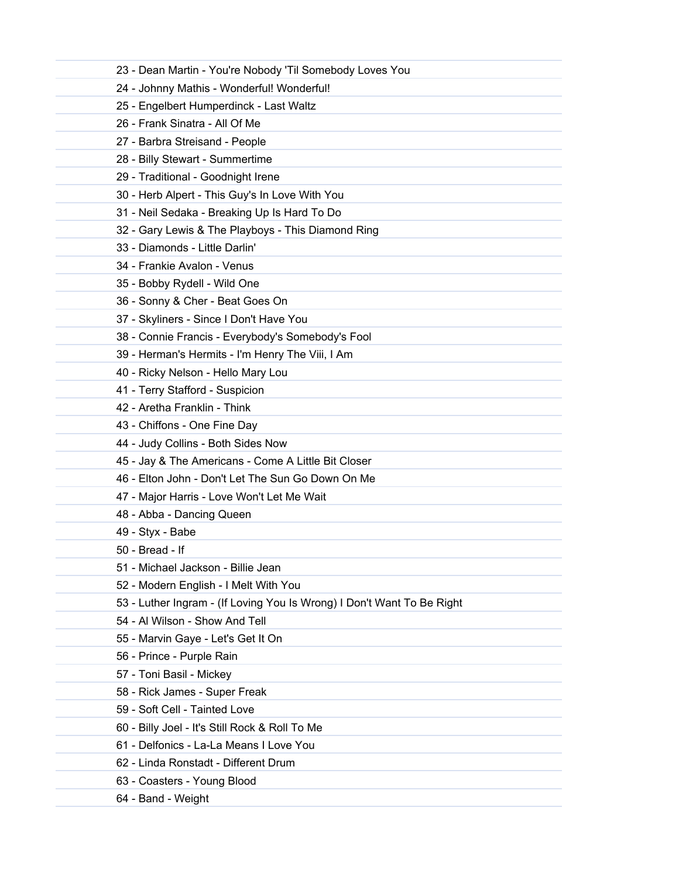| 23 - Dean Martin - You're Nobody 'Til Somebody Loves You               |
|------------------------------------------------------------------------|
| 24 - Johnny Mathis - Wonderful! Wonderful!                             |
| 25 - Engelbert Humperdinck - Last Waltz                                |
| 26 - Frank Sinatra - All Of Me                                         |
| 27 - Barbra Streisand - People                                         |
| 28 - Billy Stewart - Summertime                                        |
| 29 - Traditional - Goodnight Irene                                     |
| 30 - Herb Alpert - This Guy's In Love With You                         |
| 31 - Neil Sedaka - Breaking Up Is Hard To Do                           |
| 32 - Gary Lewis & The Playboys - This Diamond Ring                     |
| 33 - Diamonds - Little Darlin'                                         |
| 34 - Frankie Avalon - Venus                                            |
| 35 - Bobby Rydell - Wild One                                           |
| 36 - Sonny & Cher - Beat Goes On                                       |
| 37 - Skyliners - Since I Don't Have You                                |
| 38 - Connie Francis - Everybody's Somebody's Fool                      |
| 39 - Herman's Hermits - I'm Henry The Viii, I Am                       |
| 40 - Ricky Nelson - Hello Mary Lou                                     |
| 41 - Terry Stafford - Suspicion                                        |
| 42 - Aretha Franklin - Think                                           |
| 43 - Chiffons - One Fine Day                                           |
| 44 - Judy Collins - Both Sides Now                                     |
| 45 - Jay & The Americans - Come A Little Bit Closer                    |
| 46 - Elton John - Don't Let The Sun Go Down On Me                      |
| 47 - Major Harris - Love Won't Let Me Wait                             |
| 48 - Abba - Dancing Queen                                              |
| 49 - Styx - Babe                                                       |
| 50 - Bread - If                                                        |
| 51 - Michael Jackson - Billie Jean                                     |
| 52 - Modern English - I Melt With You                                  |
| 53 - Luther Ingram - (If Loving You Is Wrong) I Don't Want To Be Right |
| 54 - Al Wilson - Show And Tell                                         |
| 55 - Marvin Gaye - Let's Get It On                                     |
| 56 - Prince - Purple Rain                                              |
| 57 - Toni Basil - Mickey                                               |
| 58 - Rick James - Super Freak                                          |
| 59 - Soft Cell - Tainted Love                                          |
| 60 - Billy Joel - It's Still Rock & Roll To Me                         |
| 61 - Delfonics - La-La Means I Love You                                |
| 62 - Linda Ronstadt - Different Drum                                   |
| 63 - Coasters - Young Blood                                            |
| 64 - Band - Weight                                                     |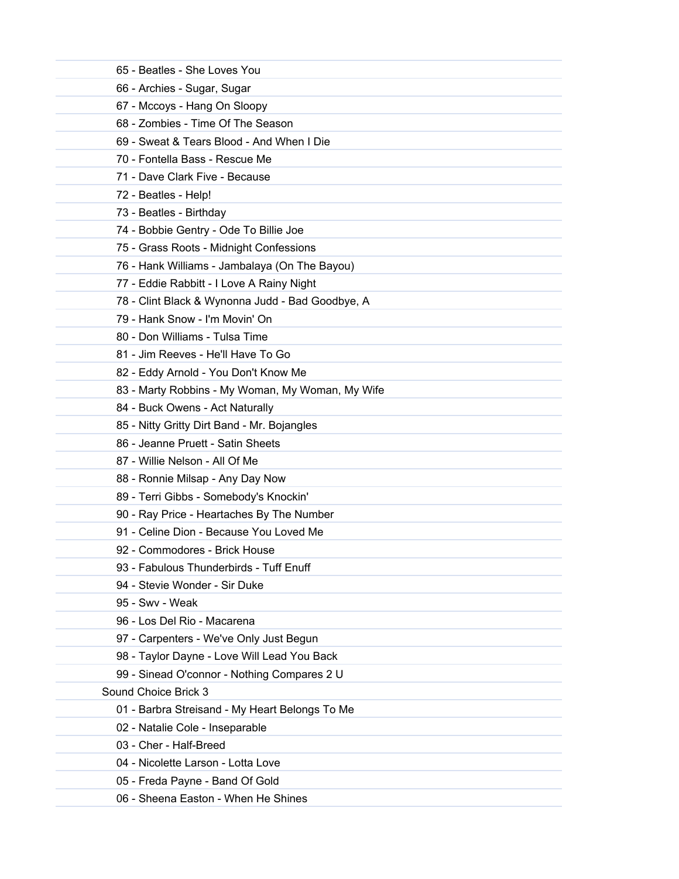| 65 - Beatles - She Loves You                     |
|--------------------------------------------------|
| 66 - Archies - Sugar, Sugar                      |
| 67 - Mccoys - Hang On Sloopy                     |
| 68 - Zombies - Time Of The Season                |
| 69 - Sweat & Tears Blood - And When I Die        |
| 70 - Fontella Bass - Rescue Me                   |
| 71 - Dave Clark Five - Because                   |
| 72 - Beatles - Help!                             |
| 73 - Beatles - Birthday                          |
| 74 - Bobbie Gentry - Ode To Billie Joe           |
| 75 - Grass Roots - Midnight Confessions          |
| 76 - Hank Williams - Jambalaya (On The Bayou)    |
| 77 - Eddie Rabbitt - I Love A Rainy Night        |
| 78 - Clint Black & Wynonna Judd - Bad Goodbye, A |
| 79 - Hank Snow - I'm Movin' On                   |
| 80 - Don Williams - Tulsa Time                   |
| 81 - Jim Reeves - He'll Have To Go               |
| 82 - Eddy Arnold - You Don't Know Me             |
| 83 - Marty Robbins - My Woman, My Woman, My Wife |
| 84 - Buck Owens - Act Naturally                  |
| 85 - Nitty Gritty Dirt Band - Mr. Bojangles      |
| 86 - Jeanne Pruett - Satin Sheets                |
| 87 - Willie Nelson - All Of Me                   |
| 88 - Ronnie Milsap - Any Day Now                 |
| 89 - Terri Gibbs - Somebody's Knockin'           |
| 90 - Ray Price - Heartaches By The Number        |
| 91 - Celine Dion - Because You Loved Me          |
| 92 - Commodores - Brick House                    |
| 93 - Fabulous Thunderbirds - Tuff Enuff          |
| 94 - Stevie Wonder - Sir Duke                    |
| 95 - Swv - Weak                                  |
| 96 - Los Del Rio - Macarena                      |
| 97 - Carpenters - We've Only Just Begun          |
| 98 - Taylor Dayne - Love Will Lead You Back      |
| 99 - Sinead O'connor - Nothing Compares 2 U      |
| Sound Choice Brick 3                             |
| 01 - Barbra Streisand - My Heart Belongs To Me   |
| 02 - Natalie Cole - Inseparable                  |
| 03 - Cher - Half-Breed                           |
| 04 - Nicolette Larson - Lotta Love               |
| 05 - Freda Payne - Band Of Gold                  |
| 06 - Sheena Easton - When He Shines              |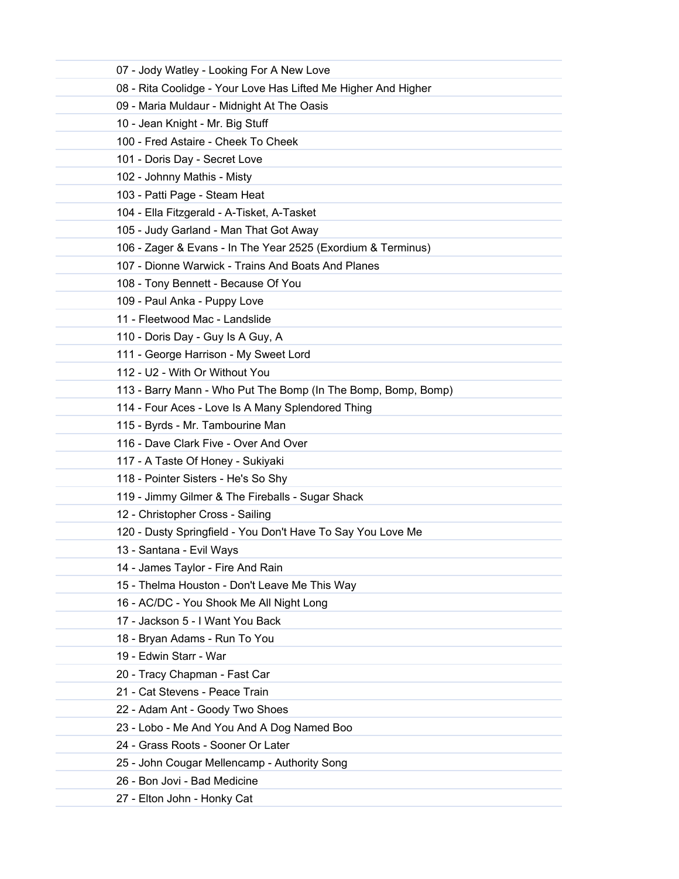| 07 - Jody Watley - Looking For A New Love                      |
|----------------------------------------------------------------|
| 08 - Rita Coolidge - Your Love Has Lifted Me Higher And Higher |
| 09 - Maria Muldaur - Midnight At The Oasis                     |
| 10 - Jean Knight - Mr. Big Stuff                               |
| 100 - Fred Astaire - Cheek To Cheek                            |
| 101 - Doris Day - Secret Love                                  |
| 102 - Johnny Mathis - Misty                                    |
| 103 - Patti Page - Steam Heat                                  |
| 104 - Ella Fitzgerald - A-Tisket, A-Tasket                     |
| 105 - Judy Garland - Man That Got Away                         |
| 106 - Zager & Evans - In The Year 2525 (Exordium & Terminus)   |
| 107 - Dionne Warwick - Trains And Boats And Planes             |
| 108 - Tony Bennett - Because Of You                            |
| 109 - Paul Anka - Puppy Love                                   |
| 11 - Fleetwood Mac - Landslide                                 |
| 110 - Doris Day - Guy Is A Guy, A                              |
| 111 - George Harrison - My Sweet Lord                          |
| 112 - U2 - With Or Without You                                 |
| 113 - Barry Mann - Who Put The Bomp (In The Bomp, Bomp, Bomp)  |
| 114 - Four Aces - Love Is A Many Splendored Thing              |
| 115 - Byrds - Mr. Tambourine Man                               |
| 116 - Dave Clark Five - Over And Over                          |
| 117 - A Taste Of Honey - Sukiyaki                              |
| 118 - Pointer Sisters - He's So Shy                            |
| 119 - Jimmy Gilmer & The Fireballs - Sugar Shack               |
| 12 - Christopher Cross - Sailing                               |
| 120 - Dusty Springfield - You Don't Have To Say You Love Me    |
| 13 - Santana - Evil Ways                                       |
| 14 - James Taylor - Fire And Rain                              |
| 15 - Thelma Houston - Don't Leave Me This Way                  |
| 16 - AC/DC - You Shook Me All Night Long                       |
| 17 - Jackson 5 - I Want You Back                               |
| 18 - Bryan Adams - Run To You                                  |
| 19 - Edwin Starr - War                                         |
| 20 - Tracy Chapman - Fast Car                                  |
| 21 - Cat Stevens - Peace Train                                 |
| 22 - Adam Ant - Goody Two Shoes                                |
| 23 - Lobo - Me And You And A Dog Named Boo                     |
| 24 - Grass Roots - Sooner Or Later                             |
| 25 - John Cougar Mellencamp - Authority Song                   |
| 26 - Bon Jovi - Bad Medicine                                   |
| 27 - Elton John - Honky Cat                                    |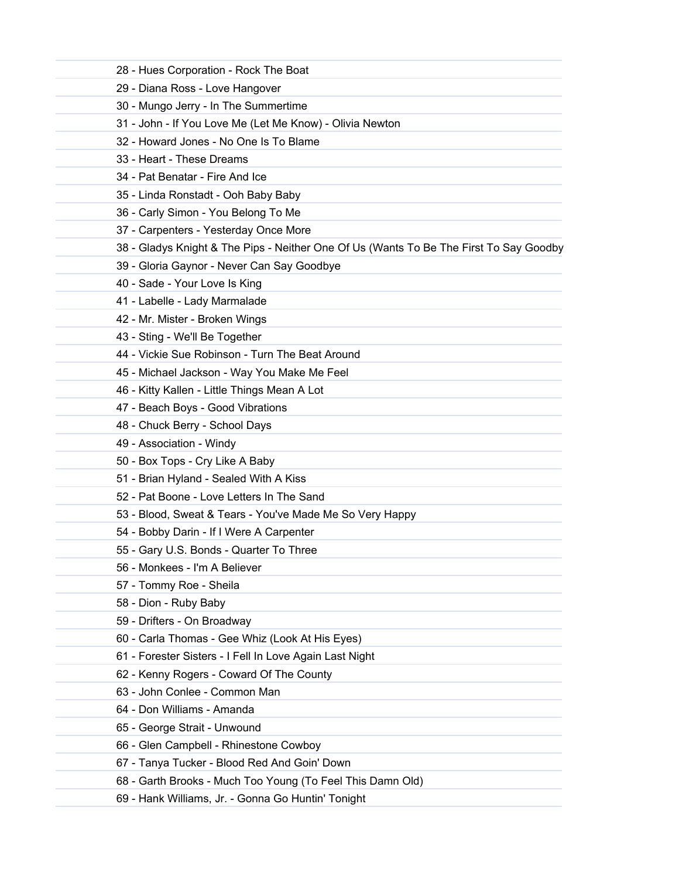| 28 - Hues Corporation - Rock The Boat                                                  |
|----------------------------------------------------------------------------------------|
| 29 - Diana Ross - Love Hangover                                                        |
| 30 - Mungo Jerry - In The Summertime                                                   |
| 31 - John - If You Love Me (Let Me Know) - Olivia Newton                               |
| 32 - Howard Jones - No One Is To Blame                                                 |
| 33 - Heart - These Dreams                                                              |
| 34 - Pat Benatar - Fire And Ice                                                        |
| 35 - Linda Ronstadt - Ooh Baby Baby                                                    |
| 36 - Carly Simon - You Belong To Me                                                    |
| 37 - Carpenters - Yesterday Once More                                                  |
| 38 - Gladys Knight & The Pips - Neither One Of Us (Wants To Be The First To Say Goodby |
| 39 - Gloria Gaynor - Never Can Say Goodbye                                             |
| 40 - Sade - Your Love Is King                                                          |
| 41 - Labelle - Lady Marmalade                                                          |
| 42 - Mr. Mister - Broken Wings                                                         |
| 43 - Sting - We'll Be Together                                                         |
| 44 - Vickie Sue Robinson - Turn The Beat Around                                        |
| 45 - Michael Jackson - Way You Make Me Feel                                            |
| 46 - Kitty Kallen - Little Things Mean A Lot                                           |
| 47 - Beach Boys - Good Vibrations                                                      |
| 48 - Chuck Berry - School Days                                                         |
| 49 - Association - Windy                                                               |
| 50 - Box Tops - Cry Like A Baby                                                        |
| 51 - Brian Hyland - Sealed With A Kiss                                                 |
| 52 - Pat Boone - Love Letters In The Sand                                              |
| 53 - Blood, Sweat & Tears - You've Made Me So Very Happy                               |
| 54 - Bobby Darin - If I Were A Carpenter                                               |
| 55 - Gary U.S. Bonds - Quarter To Three                                                |
| 56 - Monkees - I'm A Believer                                                          |
| 57 - Tommy Roe - Sheila                                                                |
| 58 - Dion - Ruby Baby                                                                  |
| 59 - Drifters - On Broadway                                                            |
| 60 - Carla Thomas - Gee Whiz (Look At His Eyes)                                        |
| 61 - Forester Sisters - I Fell In Love Again Last Night                                |
| 62 - Kenny Rogers - Coward Of The County                                               |
| 63 - John Conlee - Common Man                                                          |
| 64 - Don Williams - Amanda                                                             |
| 65 - George Strait - Unwound                                                           |
| 66 - Glen Campbell - Rhinestone Cowboy                                                 |
| 67 - Tanya Tucker - Blood Red And Goin' Down                                           |
| 68 - Garth Brooks - Much Too Young (To Feel This Damn Old)                             |
| 69 - Hank Williams, Jr. - Gonna Go Huntin' Tonight                                     |
|                                                                                        |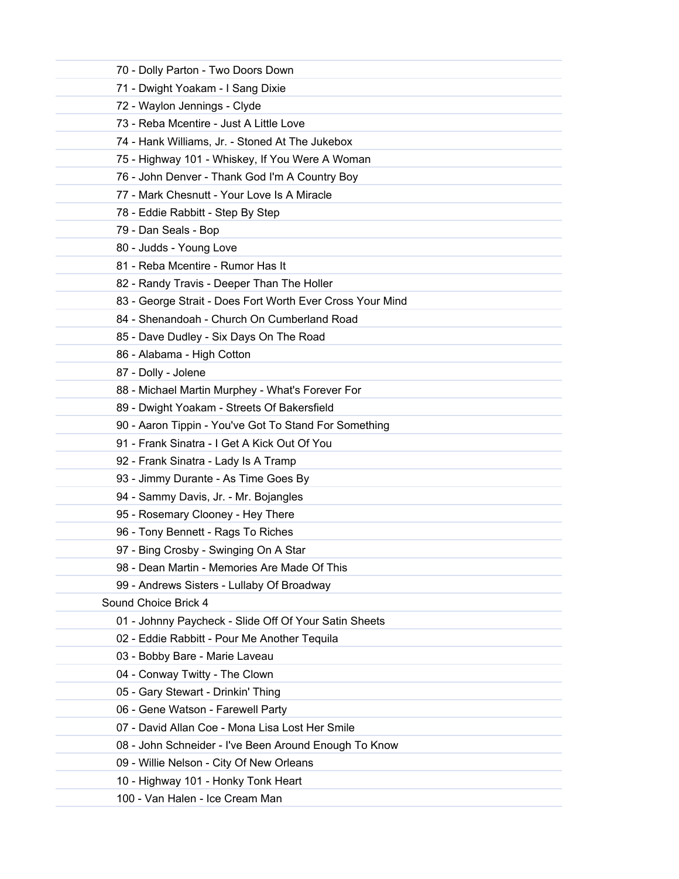| 70 - Dolly Parton - Two Doors Down                        |
|-----------------------------------------------------------|
| 71 - Dwight Yoakam - I Sang Dixie                         |
| 72 - Waylon Jennings - Clyde                              |
| 73 - Reba Mcentire - Just A Little Love                   |
| 74 - Hank Williams, Jr. - Stoned At The Jukebox           |
| 75 - Highway 101 - Whiskey, If You Were A Woman           |
| 76 - John Denver - Thank God I'm A Country Boy            |
| 77 - Mark Chesnutt - Your Love Is A Miracle               |
| 78 - Eddie Rabbitt - Step By Step                         |
| 79 - Dan Seals - Bop                                      |
| 80 - Judds - Young Love                                   |
| 81 - Reba Mcentire - Rumor Has It                         |
| 82 - Randy Travis - Deeper Than The Holler                |
| 83 - George Strait - Does Fort Worth Ever Cross Your Mind |
| 84 - Shenandoah - Church On Cumberland Road               |
| 85 - Dave Dudley - Six Days On The Road                   |
| 86 - Alabama - High Cotton                                |
| 87 - Dolly - Jolene                                       |
| 88 - Michael Martin Murphey - What's Forever For          |
| 89 - Dwight Yoakam - Streets Of Bakersfield               |
| 90 - Aaron Tippin - You've Got To Stand For Something     |
| 91 - Frank Sinatra - I Get A Kick Out Of You              |
| 92 - Frank Sinatra - Lady Is A Tramp                      |
| 93 - Jimmy Durante - As Time Goes By                      |
| 94 - Sammy Davis, Jr. - Mr. Bojangles                     |
| 95 - Rosemary Clooney - Hey There                         |
| 96 - Tony Bennett - Rags To Riches                        |
| 97 - Bing Crosby - Swinging On A Star                     |
| 98 - Dean Martin - Memories Are Made Of This              |
| 99 - Andrews Sisters - Lullaby Of Broadway                |
| Sound Choice Brick 4                                      |
| 01 - Johnny Paycheck - Slide Off Of Your Satin Sheets     |
| 02 - Eddie Rabbitt - Pour Me Another Tequila              |
| 03 - Bobby Bare - Marie Laveau                            |
| 04 - Conway Twitty - The Clown                            |
| 05 - Gary Stewart - Drinkin' Thing                        |
| 06 - Gene Watson - Farewell Party                         |
| 07 - David Allan Coe - Mona Lisa Lost Her Smile           |
| 08 - John Schneider - I've Been Around Enough To Know     |
| 09 - Willie Nelson - City Of New Orleans                  |
| 10 - Highway 101 - Honky Tonk Heart                       |
| 100 - Van Halen - Ice Cream Man                           |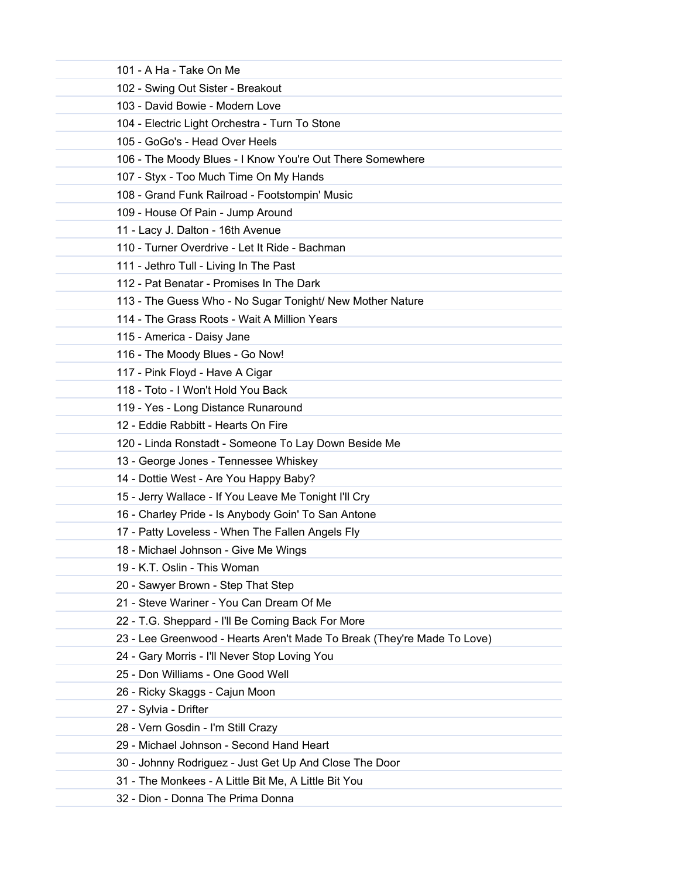| 101 - A Ha - Take On Me                                                 |  |
|-------------------------------------------------------------------------|--|
| 102 - Swing Out Sister - Breakout                                       |  |
| 103 - David Bowie - Modern Love                                         |  |
| 104 - Electric Light Orchestra - Turn To Stone                          |  |
| 105 - GoGo's - Head Over Heels                                          |  |
| 106 - The Moody Blues - I Know You're Out There Somewhere               |  |
| 107 - Styx - Too Much Time On My Hands                                  |  |
| 108 - Grand Funk Railroad - Footstompin' Music                          |  |
| 109 - House Of Pain - Jump Around                                       |  |
| 11 - Lacy J. Dalton - 16th Avenue                                       |  |
| 110 - Turner Overdrive - Let It Ride - Bachman                          |  |
| 111 - Jethro Tull - Living In The Past                                  |  |
| 112 - Pat Benatar - Promises In The Dark                                |  |
| 113 - The Guess Who - No Sugar Tonight/ New Mother Nature               |  |
| 114 - The Grass Roots - Wait A Million Years                            |  |
| 115 - America - Daisy Jane                                              |  |
| 116 - The Moody Blues - Go Now!                                         |  |
| 117 - Pink Floyd - Have A Cigar                                         |  |
| 118 - Toto - I Won't Hold You Back                                      |  |
| 119 - Yes - Long Distance Runaround                                     |  |
| 12 - Eddie Rabbitt - Hearts On Fire                                     |  |
| 120 - Linda Ronstadt - Someone To Lay Down Beside Me                    |  |
| 13 - George Jones - Tennessee Whiskey                                   |  |
| 14 - Dottie West - Are You Happy Baby?                                  |  |
| 15 - Jerry Wallace - If You Leave Me Tonight I'll Cry                   |  |
| 16 - Charley Pride - Is Anybody Goin' To San Antone                     |  |
| 17 - Patty Loveless - When The Fallen Angels Fly                        |  |
| 18 - Michael Johnson - Give Me Wings                                    |  |
| 19 - K.T. Oslin - This Woman                                            |  |
| 20 - Sawyer Brown - Step That Step                                      |  |
| 21 - Steve Wariner - You Can Dream Of Me                                |  |
| 22 - T.G. Sheppard - I'll Be Coming Back For More                       |  |
| 23 - Lee Greenwood - Hearts Aren't Made To Break (They're Made To Love) |  |
| 24 - Gary Morris - I'll Never Stop Loving You                           |  |
| 25 - Don Williams - One Good Well                                       |  |
| 26 - Ricky Skaggs - Cajun Moon                                          |  |
| 27 - Sylvia - Drifter                                                   |  |
| 28 - Vern Gosdin - I'm Still Crazy                                      |  |
| 29 - Michael Johnson - Second Hand Heart                                |  |
| 30 - Johnny Rodriguez - Just Get Up And Close The Door                  |  |
| 31 - The Monkees - A Little Bit Me, A Little Bit You                    |  |
| 32 - Dion - Donna The Prima Donna                                       |  |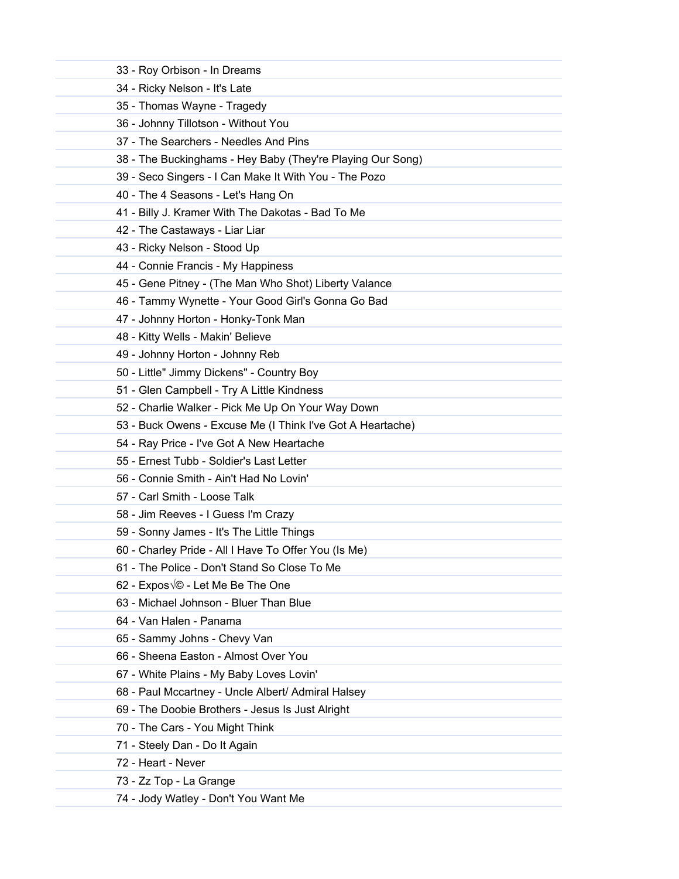| 33 - Roy Orbison - In Dreams             |                                                            |
|------------------------------------------|------------------------------------------------------------|
| 34 - Ricky Nelson - It's Late            |                                                            |
| 35 - Thomas Wayne - Tragedy              |                                                            |
| 36 - Johnny Tillotson - Without You      |                                                            |
| 37 - The Searchers - Needles And Pins    |                                                            |
|                                          | 38 - The Buckinghams - Hey Baby (They're Playing Our Song) |
|                                          | 39 - Seco Singers - I Can Make It With You - The Pozo      |
| 40 - The 4 Seasons - Let's Hang On       |                                                            |
|                                          | 41 - Billy J. Kramer With The Dakotas - Bad To Me          |
| 42 - The Castaways - Liar Liar           |                                                            |
| 43 - Ricky Nelson - Stood Up             |                                                            |
| 44 - Connie Francis - My Happiness       |                                                            |
|                                          | 45 - Gene Pitney - (The Man Who Shot) Liberty Valance      |
|                                          | 46 - Tammy Wynette - Your Good Girl's Gonna Go Bad         |
| 47 - Johnny Horton - Honky-Tonk Man      |                                                            |
| 48 - Kitty Wells - Makin' Believe        |                                                            |
| 49 - Johnny Horton - Johnny Reb          |                                                            |
|                                          | 50 - Little" Jimmy Dickens" - Country Boy                  |
|                                          | 51 - Glen Campbell - Try A Little Kindness                 |
|                                          | 52 - Charlie Walker - Pick Me Up On Your Way Down          |
|                                          | 53 - Buck Owens - Excuse Me (I Think I've Got A Heartache) |
|                                          | 54 - Ray Price - I've Got A New Heartache                  |
| 55 - Ernest Tubb - Soldier's Last Letter |                                                            |
| 56 - Connie Smith - Ain't Had No Lovin'  |                                                            |
| 57 - Carl Smith - Loose Talk             |                                                            |
| 58 - Jim Reeves - I Guess I'm Crazy      |                                                            |
|                                          | 59 - Sonny James - It's The Little Things                  |
|                                          | 60 - Charley Pride - All I Have To Offer You (Is Me)       |
|                                          | 61 - The Police - Don't Stand So Close To Me               |
| 62 - Expos VO - Let Me Be The One        |                                                            |
| 63 - Michael Johnson - Bluer Than Blue   |                                                            |
| 64 - Van Halen - Panama                  |                                                            |
| 65 - Sammy Johns - Chevy Van             |                                                            |
| 66 - Sheena Easton - Almost Over You     |                                                            |
|                                          | 67 - White Plains - My Baby Loves Lovin'                   |
|                                          | 68 - Paul Mccartney - Uncle Albert/ Admiral Halsey         |
|                                          | 69 - The Doobie Brothers - Jesus Is Just Alright           |
| 70 - The Cars - You Might Think          |                                                            |
| 71 - Steely Dan - Do It Again            |                                                            |
| 72 - Heart - Never                       |                                                            |
| 73 - Zz Top - La Grange                  |                                                            |
| 74 - Jody Watley - Don't You Want Me     |                                                            |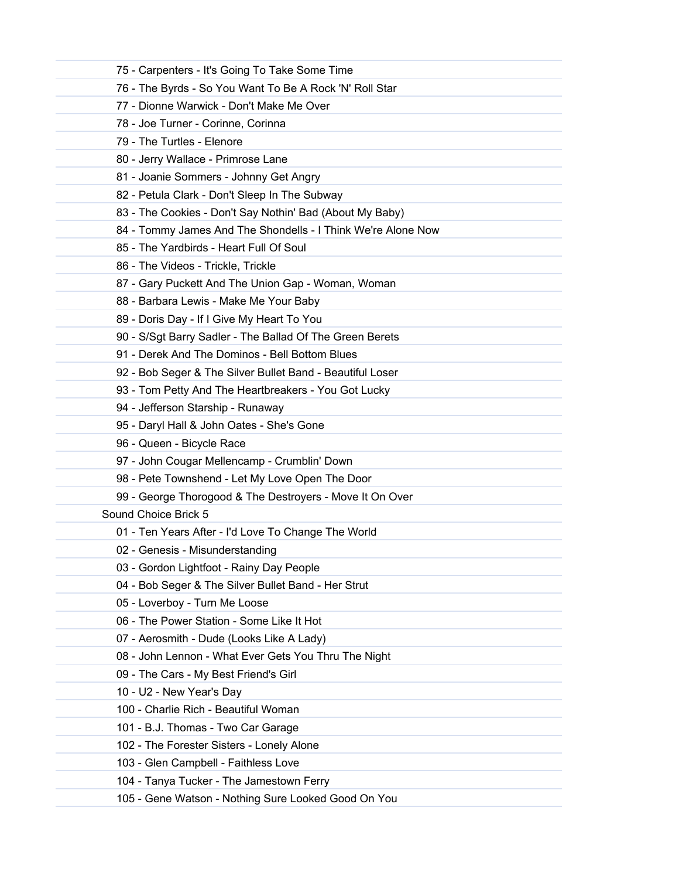| 75 - Carpenters - It's Going To Take Some Time               |
|--------------------------------------------------------------|
| 76 - The Byrds - So You Want To Be A Rock 'N' Roll Star      |
| 77 - Dionne Warwick - Don't Make Me Over                     |
| 78 - Joe Turner - Corinne, Corinna                           |
| 79 - The Turtles - Elenore                                   |
| 80 - Jerry Wallace - Primrose Lane                           |
| 81 - Joanie Sommers - Johnny Get Angry                       |
| 82 - Petula Clark - Don't Sleep In The Subway                |
| 83 - The Cookies - Don't Say Nothin' Bad (About My Baby)     |
| 84 - Tommy James And The Shondells - I Think We're Alone Now |
| 85 - The Yardbirds - Heart Full Of Soul                      |
| 86 - The Videos - Trickle, Trickle                           |
| 87 - Gary Puckett And The Union Gap - Woman, Woman           |
| 88 - Barbara Lewis - Make Me Your Baby                       |
| 89 - Doris Day - If I Give My Heart To You                   |
| 90 - S/Sgt Barry Sadler - The Ballad Of The Green Berets     |
| 91 - Derek And The Dominos - Bell Bottom Blues               |
| 92 - Bob Seger & The Silver Bullet Band - Beautiful Loser    |
| 93 - Tom Petty And The Heartbreakers - You Got Lucky         |
| 94 - Jefferson Starship - Runaway                            |
| 95 - Daryl Hall & John Oates - She's Gone                    |
| 96 - Queen - Bicycle Race                                    |
| 97 - John Cougar Mellencamp - Crumblin' Down                 |
| 98 - Pete Townshend - Let My Love Open The Door              |
| 99 - George Thorogood & The Destroyers - Move It On Over     |
| Sound Choice Brick 5                                         |
| 01 - Ten Years After - I'd Love To Change The World          |
| 02 - Genesis - Misunderstanding                              |
| 03 - Gordon Lightfoot - Rainy Day People                     |
| 04 - Bob Seger & The Silver Bullet Band - Her Strut          |
| 05 - Loverboy - Turn Me Loose                                |
| 06 - The Power Station - Some Like It Hot                    |
| 07 - Aerosmith - Dude (Looks Like A Lady)                    |
| 08 - John Lennon - What Ever Gets You Thru The Night         |
| 09 - The Cars - My Best Friend's Girl                        |
| 10 - U2 - New Year's Day                                     |
| 100 - Charlie Rich - Beautiful Woman                         |
| 101 - B.J. Thomas - Two Car Garage                           |
| 102 - The Forester Sisters - Lonely Alone                    |
| 103 - Glen Campbell - Faithless Love                         |
| 104 - Tanya Tucker - The Jamestown Ferry                     |
| 105 - Gene Watson - Nothing Sure Looked Good On You          |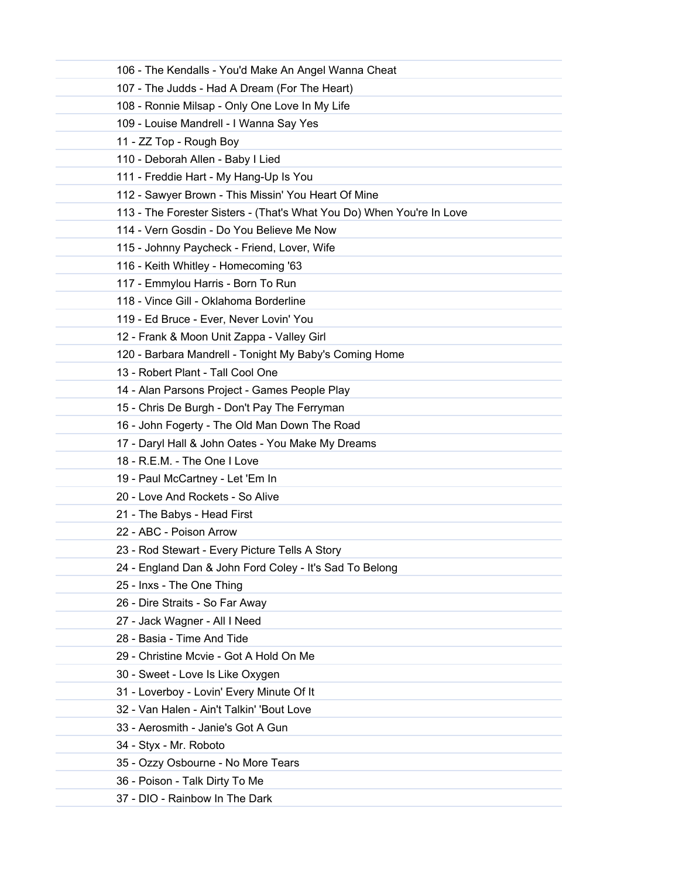| 106 - The Kendalls - You'd Make An Angel Wanna Cheat                  |
|-----------------------------------------------------------------------|
| 107 - The Judds - Had A Dream (For The Heart)                         |
| 108 - Ronnie Milsap - Only One Love In My Life                        |
| 109 - Louise Mandrell - I Wanna Say Yes                               |
| 11 - ZZ Top - Rough Boy                                               |
| 110 - Deborah Allen - Baby I Lied                                     |
| 111 - Freddie Hart - My Hang-Up Is You                                |
| 112 - Sawyer Brown - This Missin' You Heart Of Mine                   |
| 113 - The Forester Sisters - (That's What You Do) When You're In Love |
| 114 - Vern Gosdin - Do You Believe Me Now                             |
| 115 - Johnny Paycheck - Friend, Lover, Wife                           |
| 116 - Keith Whitley - Homecoming '63                                  |
| 117 - Emmylou Harris - Born To Run                                    |
| 118 - Vince Gill - Oklahoma Borderline                                |
| 119 - Ed Bruce - Ever, Never Lovin' You                               |
| 12 - Frank & Moon Unit Zappa - Valley Girl                            |
| 120 - Barbara Mandrell - Tonight My Baby's Coming Home                |
| 13 - Robert Plant - Tall Cool One                                     |
| 14 - Alan Parsons Project - Games People Play                         |
| 15 - Chris De Burgh - Don't Pay The Ferryman                          |
| 16 - John Fogerty - The Old Man Down The Road                         |
| 17 - Daryl Hall & John Oates - You Make My Dreams                     |
| 18 - R.E.M. - The One I Love                                          |
| 19 - Paul McCartney - Let 'Em In                                      |
| 20 - Love And Rockets - So Alive                                      |
| 21 - The Babys - Head First                                           |
| 22 - ABC - Poison Arrow                                               |
| 23 - Rod Stewart - Every Picture Tells A Story                        |
| 24 - England Dan & John Ford Coley - It's Sad To Belong               |
| 25 - Inxs - The One Thing                                             |
| 26 - Dire Straits - So Far Away                                       |
| 27 - Jack Wagner - All I Need                                         |
| 28 - Basia - Time And Tide                                            |
| 29 - Christine Mcvie - Got A Hold On Me                               |
| 30 - Sweet - Love Is Like Oxygen                                      |
| 31 - Loverboy - Lovin' Every Minute Of It                             |
| 32 - Van Halen - Ain't Talkin' 'Bout Love                             |
| 33 - Aerosmith - Janie's Got A Gun                                    |
| 34 - Styx - Mr. Roboto                                                |
| 35 - Ozzy Osbourne - No More Tears                                    |
| 36 - Poison - Talk Dirty To Me                                        |
| 37 - DIO - Rainbow In The Dark                                        |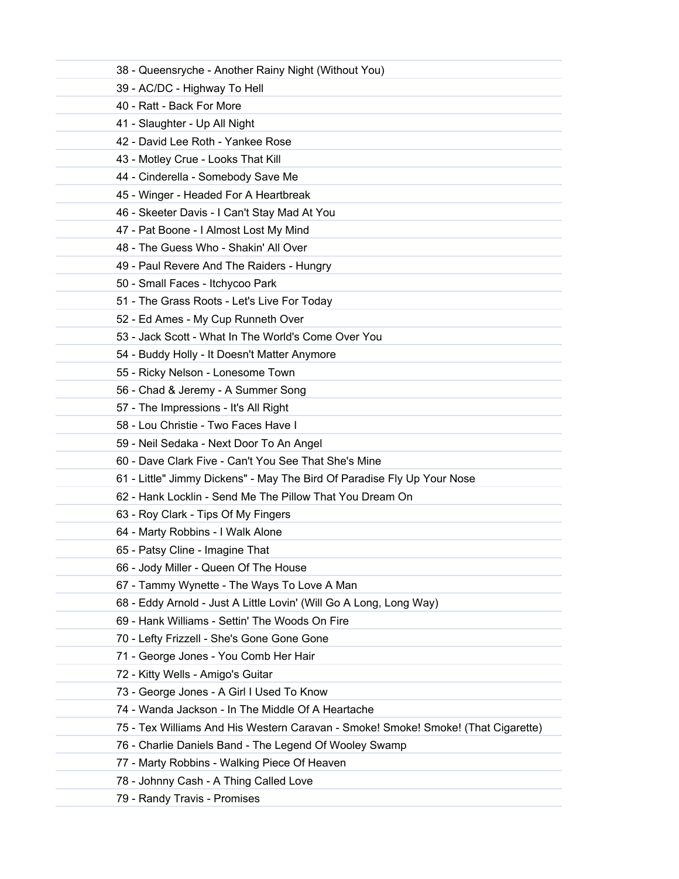| 38 - Queensryche - Another Rainy Night (Without You)                              |
|-----------------------------------------------------------------------------------|
| 39 - AC/DC - Highway To Hell                                                      |
| 40 - Ratt - Back For More                                                         |
| 41 - Slaughter - Up All Night                                                     |
| 42 - David Lee Roth - Yankee Rose                                                 |
| 43 - Motley Crue - Looks That Kill                                                |
| 44 - Cinderella - Somebody Save Me                                                |
| 45 - Winger - Headed For A Heartbreak                                             |
| 46 - Skeeter Davis - I Can't Stay Mad At You                                      |
| 47 - Pat Boone - I Almost Lost My Mind                                            |
| 48 - The Guess Who - Shakin' All Over                                             |
| 49 - Paul Revere And The Raiders - Hungry                                         |
| 50 - Small Faces - Itchycoo Park                                                  |
| 51 - The Grass Roots - Let's Live For Today                                       |
| 52 - Ed Ames - My Cup Runneth Over                                                |
| 53 - Jack Scott - What In The World's Come Over You                               |
| 54 - Buddy Holly - It Doesn't Matter Anymore                                      |
| 55 - Ricky Nelson - Lonesome Town                                                 |
| 56 - Chad & Jeremy - A Summer Song                                                |
| 57 - The Impressions - It's All Right                                             |
| 58 - Lou Christie - Two Faces Have I                                              |
| 59 - Neil Sedaka - Next Door To An Angel                                          |
| 60 - Dave Clark Five - Can't You See That She's Mine                              |
| 61 - Little" Jimmy Dickens" - May The Bird Of Paradise Fly Up Your Nose           |
| 62 - Hank Locklin - Send Me The Pillow That You Dream On                          |
| 63 - Roy Clark - Tips Of My Fingers                                               |
| 64 - Marty Robbins - I Walk Alone                                                 |
| 65 - Patsy Cline - Imagine That                                                   |
| 66 - Jody Miller - Queen Of The House                                             |
| 67 - Tammy Wynette - The Ways To Love A Man                                       |
| 68 - Eddy Arnold - Just A Little Lovin' (Will Go A Long, Long Way)                |
| 69 - Hank Williams - Settin' The Woods On Fire                                    |
| 70 - Lefty Frizzell - She's Gone Gone Gone                                        |
| 71 - George Jones - You Comb Her Hair                                             |
| 72 - Kitty Wells - Amigo's Guitar                                                 |
| 73 - George Jones - A Girl I Used To Know                                         |
| 74 - Wanda Jackson - In The Middle Of A Heartache                                 |
| 75 - Tex Williams And His Western Caravan - Smoke! Smoke! Smoke! (That Cigarette) |
| 76 - Charlie Daniels Band - The Legend Of Wooley Swamp                            |
| 77 - Marty Robbins - Walking Piece Of Heaven                                      |
| 78 - Johnny Cash - A Thing Called Love                                            |
| 79 - Randy Travis - Promises                                                      |